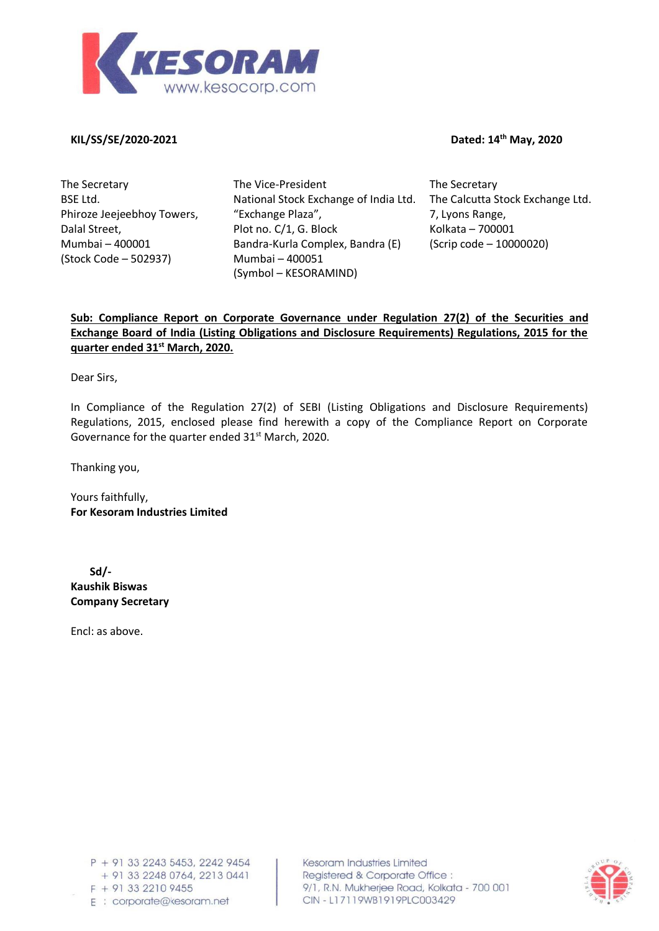

**KIL/SS/SE/2020-2021 Dated: 14**

**th May, 2020**

The Secretary BSE Ltd. Phiroze Jeejeebhoy Towers, Dalal Street, Mumbai – 400001 (Stock Code – 502937)

The Vice-President National Stock Exchange of India Ltd. "Exchange Plaza", Plot no. C/1, G. Block Bandra-Kurla Complex, Bandra (E) Mumbai – 400051 (Symbol – KESORAMIND)

The Secretary The Calcutta Stock Exchange Ltd. 7, Lyons Range, Kolkata – 700001 (Scrip code – 10000020)

## **Sub: Compliance Report on Corporate Governance under Regulation 27(2) of the Securities and Exchange Board of India (Listing Obligations and Disclosure Requirements) Regulations, 2015 for the quarter ended 31st March, 2020.**

Dear Sirs,

In Compliance of the Regulation 27(2) of SEBI (Listing Obligations and Disclosure Requirements) Regulations, 2015, enclosed please find herewith a copy of the Compliance Report on Corporate Governance for the quarter ended  $31<sup>st</sup>$  March, 2020.

Thanking you,

Yours faithfully, **For Kesoram Industries Limited**

 **Sd/- Kaushik Biswas Company Secretary**

Encl: as above.

Kesoram Industries Limited Registered & Corporate Office: 9/1, R.N. Mukherjee Road, Kolkata - 700 001 CIN-L17119WB1919PLC003429

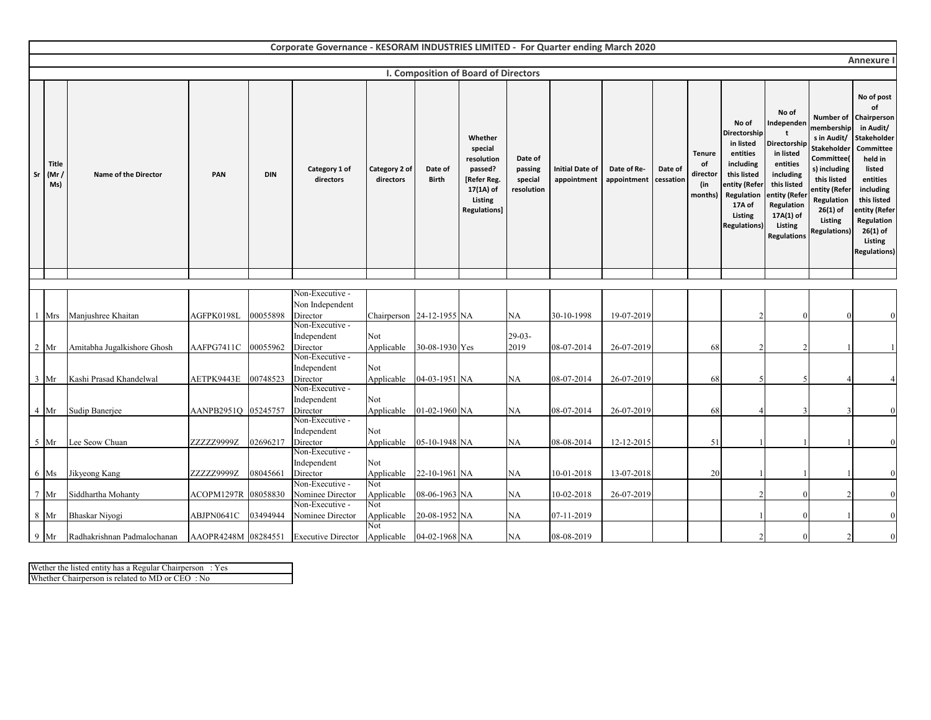|                 |                      |                                  |                     |            | Corporate Governance - KESORAM INDUSTRIES LIMITED - For Quarter ending March 2020 |                                 |                         |                                                                                                           |                                             |                                       |                            |                      |                                                   |                                                                                                                                                       |                                                                                                                                                                       |                                                                                                                                                                                          |                                                                                                                                                                                                                      |
|-----------------|----------------------|----------------------------------|---------------------|------------|-----------------------------------------------------------------------------------|---------------------------------|-------------------------|-----------------------------------------------------------------------------------------------------------|---------------------------------------------|---------------------------------------|----------------------------|----------------------|---------------------------------------------------|-------------------------------------------------------------------------------------------------------------------------------------------------------|-----------------------------------------------------------------------------------------------------------------------------------------------------------------------|------------------------------------------------------------------------------------------------------------------------------------------------------------------------------------------|----------------------------------------------------------------------------------------------------------------------------------------------------------------------------------------------------------------------|
|                 |                      |                                  |                     |            |                                                                                   |                                 |                         |                                                                                                           |                                             |                                       |                            |                      |                                                   |                                                                                                                                                       |                                                                                                                                                                       |                                                                                                                                                                                          | <b>Annexure I</b>                                                                                                                                                                                                    |
|                 |                      |                                  |                     |            |                                                                                   |                                 |                         | <b>I. Composition of Board of Directors</b>                                                               |                                             |                                       |                            |                      |                                                   |                                                                                                                                                       |                                                                                                                                                                       |                                                                                                                                                                                          |                                                                                                                                                                                                                      |
| Sr              | Title<br>(Mr)<br>Ms) | Name of the Director             | PAN                 | <b>DIN</b> | Category 1 of<br>directors                                                        | Category 2 of<br>directors      | Date of<br><b>Birth</b> | Whether<br>special<br>resolution<br>passed?<br>[Refer Reg.<br>17(1A) of<br>Listing<br><b>Regulations]</b> | Date of<br>passing<br>special<br>resolution | <b>Initial Date of</b><br>appointment | Date of Re-<br>appointment | Date of<br>cessation | <b>Tenure</b><br>of<br>director<br>(in<br>months) | No of<br>Directorship<br>in listed<br>entities<br>including<br>this listed<br>entity (Refer<br>Regulation<br>17A of<br>Listing<br><b>Regulations)</b> | No of<br>Independen<br>Directorship<br>in listed<br>entities<br>including<br>this listed<br>entity (Refer<br>Regulation<br>17A(1) of<br>Listing<br><b>Regulations</b> | Number of<br>membership<br>s in Audit/<br><b>Stakeholder</b><br>Committee(<br>s) including<br>this listed<br>entity (Refer<br>Regulation<br>$26(1)$ of<br>Listing<br><b>Regulations)</b> | No of post<br>of<br>Chairperson<br>in Audit/<br>Stakeholder<br>Committee<br>held in<br>listed<br>entities<br>including<br>this listed<br>entity (Refer<br>Regulation<br>$26(1)$ of<br>Listing<br><b>Regulations)</b> |
|                 |                      |                                  |                     |            |                                                                                   |                                 |                         |                                                                                                           |                                             |                                       |                            |                      |                                                   |                                                                                                                                                       |                                                                                                                                                                       |                                                                                                                                                                                          |                                                                                                                                                                                                                      |
|                 |                      |                                  |                     |            |                                                                                   |                                 |                         |                                                                                                           |                                             |                                       |                            |                      |                                                   |                                                                                                                                                       |                                                                                                                                                                       |                                                                                                                                                                                          |                                                                                                                                                                                                                      |
|                 |                      |                                  |                     |            | Non-Executive -                                                                   |                                 |                         |                                                                                                           |                                             |                                       |                            |                      |                                                   |                                                                                                                                                       |                                                                                                                                                                       |                                                                                                                                                                                          |                                                                                                                                                                                                                      |
|                 | Mrs                  | Manjushree Khaitan               | AGFPK0198L          | 00055898   | Non Independent<br>Director                                                       | Chairperson 24-12-1955 NA       |                         |                                                                                                           | NA                                          | 30-10-1998                            | 19-07-2019                 |                      |                                                   |                                                                                                                                                       |                                                                                                                                                                       |                                                                                                                                                                                          |                                                                                                                                                                                                                      |
|                 |                      |                                  |                     |            | Non-Executive -                                                                   |                                 |                         |                                                                                                           |                                             |                                       |                            |                      |                                                   |                                                                                                                                                       |                                                                                                                                                                       |                                                                                                                                                                                          |                                                                                                                                                                                                                      |
|                 |                      |                                  |                     |            | Independent                                                                       | Not                             |                         |                                                                                                           | 29-03-                                      |                                       |                            |                      |                                                   |                                                                                                                                                       |                                                                                                                                                                       |                                                                                                                                                                                          |                                                                                                                                                                                                                      |
|                 | $2 \mathrm{Mr}$      | Amitabha Jugalkishore Ghosh      | AAFPG7411C          | 00055962   | Director                                                                          | Applicable 30-08-1930 Yes       |                         |                                                                                                           | 2019                                        | 08-07-2014                            | 26-07-2019                 |                      | 68                                                |                                                                                                                                                       |                                                                                                                                                                       |                                                                                                                                                                                          |                                                                                                                                                                                                                      |
|                 |                      |                                  |                     |            | Non-Executive -                                                                   |                                 |                         |                                                                                                           |                                             |                                       |                            |                      |                                                   |                                                                                                                                                       |                                                                                                                                                                       |                                                                                                                                                                                          |                                                                                                                                                                                                                      |
|                 |                      |                                  |                     |            | Independent                                                                       | Not                             |                         |                                                                                                           |                                             |                                       |                            |                      |                                                   |                                                                                                                                                       |                                                                                                                                                                       |                                                                                                                                                                                          |                                                                                                                                                                                                                      |
|                 | $3 \text{ Mr}$       | Kashi Prasad Khandelwal          | AETPK9443E          | 00748523   | Director<br>Non-Executive -                                                       | Applicable                      | 04-03-1951 NA           |                                                                                                           | NA                                          | 08-07-2014                            | 26-07-2019                 |                      | 68                                                |                                                                                                                                                       |                                                                                                                                                                       |                                                                                                                                                                                          |                                                                                                                                                                                                                      |
|                 |                      |                                  |                     |            | Independent                                                                       | Not                             |                         |                                                                                                           |                                             |                                       |                            |                      |                                                   |                                                                                                                                                       |                                                                                                                                                                       |                                                                                                                                                                                          |                                                                                                                                                                                                                      |
|                 | 4 Mr                 | Sudip Banerjee                   | AANPB2951Q 05245757 |            | Director                                                                          | Applicable                      | 01-02-1960 NA           |                                                                                                           | NA                                          | 08-07-2014                            | 26-07-2019                 |                      | 68                                                |                                                                                                                                                       |                                                                                                                                                                       |                                                                                                                                                                                          |                                                                                                                                                                                                                      |
|                 |                      |                                  |                     |            | Non-Executive -                                                                   |                                 |                         |                                                                                                           |                                             |                                       |                            |                      |                                                   |                                                                                                                                                       |                                                                                                                                                                       |                                                                                                                                                                                          |                                                                                                                                                                                                                      |
|                 |                      |                                  |                     |            | Independent                                                                       | Not                             |                         |                                                                                                           |                                             |                                       |                            |                      |                                                   |                                                                                                                                                       |                                                                                                                                                                       |                                                                                                                                                                                          |                                                                                                                                                                                                                      |
|                 | $5$ Mr               | Lee Seow Chuan                   | ZZZZZ9999Z          | 02696217   | Director                                                                          | Applicable 05-10-1948 NA        |                         |                                                                                                           | NA                                          | 08-08-2014                            | 12-12-2015                 |                      | 51                                                |                                                                                                                                                       |                                                                                                                                                                       |                                                                                                                                                                                          |                                                                                                                                                                                                                      |
|                 |                      |                                  |                     |            | Non-Executive -<br>Independent                                                    | Not                             |                         |                                                                                                           |                                             |                                       |                            |                      |                                                   |                                                                                                                                                       |                                                                                                                                                                       |                                                                                                                                                                                          |                                                                                                                                                                                                                      |
|                 | 6 Ms                 | Jikyeong Kang                    | ZZZZZ9999Z          | 08045661   | Director                                                                          | Applicable                      | 22-10-1961 NA           |                                                                                                           | NA                                          | 10-01-2018                            | 13-07-2018                 |                      | 20                                                |                                                                                                                                                       |                                                                                                                                                                       |                                                                                                                                                                                          | $\Omega$                                                                                                                                                                                                             |
|                 |                      |                                  |                     |            | Non-Executive -                                                                   | Not                             |                         |                                                                                                           |                                             |                                       |                            |                      |                                                   |                                                                                                                                                       |                                                                                                                                                                       |                                                                                                                                                                                          |                                                                                                                                                                                                                      |
| $7\phantom{.0}$ | Mr                   | Siddhartha Mohanty               | ACOPM1297R          | 08058830   | Nominee Director                                                                  | Applicable                      | 08-06-1963 NA           |                                                                                                           | NA                                          | 10-02-2018                            | 26-07-2019                 |                      |                                                   |                                                                                                                                                       |                                                                                                                                                                       |                                                                                                                                                                                          | $\Omega$                                                                                                                                                                                                             |
|                 |                      |                                  |                     |            | Non-Executive -                                                                   | Not                             |                         |                                                                                                           |                                             |                                       |                            |                      |                                                   |                                                                                                                                                       |                                                                                                                                                                       |                                                                                                                                                                                          |                                                                                                                                                                                                                      |
|                 | 8 Mr                 | Bhaskar Niyogi                   | ABJPN0641C          | 03494944   | Nominee Director                                                                  | Applicable 20-08-1952 NA<br>Not |                         |                                                                                                           | NA                                          | 07-11-2019                            |                            |                      |                                                   |                                                                                                                                                       |                                                                                                                                                                       |                                                                                                                                                                                          | $\Omega$                                                                                                                                                                                                             |
|                 |                      | 9 Mr Radhakrishnan Padmalochanan |                     |            | AAOPR4248M 08284551 Executive Director Applicable 04-02-1968 NA                   |                                 |                         |                                                                                                           | NA                                          | 08-08-2019                            |                            |                      |                                                   |                                                                                                                                                       |                                                                                                                                                                       |                                                                                                                                                                                          | $\mathbf{0}$                                                                                                                                                                                                         |

Wether the listed entity has a Regular Chairperson : Yes Whether Chairperson is related to MD or CEO : No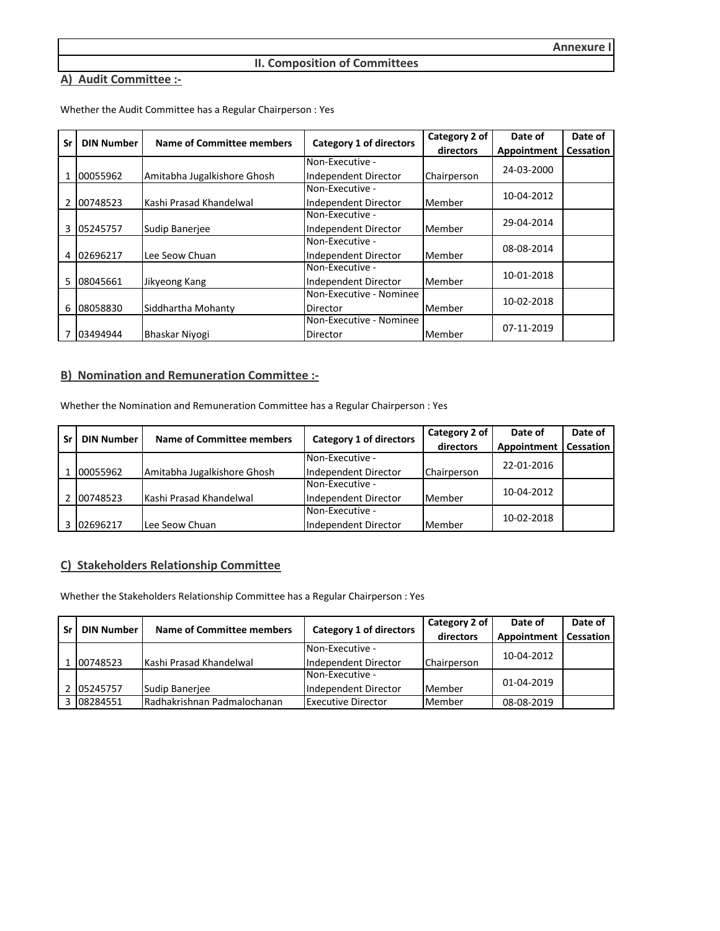#### **II. Composition of Committees**

# **A) Audit Committee :-**

| Sr | <b>DIN Number</b> | <b>Name of Committee members</b> |                                | Category 2 of | Date of     | Date of          |
|----|-------------------|----------------------------------|--------------------------------|---------------|-------------|------------------|
|    |                   |                                  | <b>Category 1 of directors</b> | directors     | Appointment | <b>Cessation</b> |
|    |                   |                                  | Non-Executive -                |               | 24-03-2000  |                  |
|    | 00055962          | Amitabha Jugalkishore Ghosh      | Independent Director           | Chairperson   |             |                  |
|    |                   |                                  | Non-Executive -                |               |             |                  |
| 2  | 00748523          | Kashi Prasad Khandelwal          | Independent Director           | Member        | 10-04-2012  |                  |
|    |                   |                                  | Non-Executive -                |               |             |                  |
| 3  | 05245757          | Sudip Banerjee                   | Independent Director           | Member        | 29-04-2014  |                  |
|    |                   |                                  | Non-Executive -                |               | 08-08-2014  |                  |
| 4  | 02696217          | Lee Seow Chuan                   | Independent Director           | Member        |             |                  |
|    |                   |                                  | Non-Executive -                |               | 10-01-2018  |                  |
| 5  | 08045661          | Jikyeong Kang                    | Independent Director           | Member        |             |                  |
|    |                   |                                  | Non-Executive - Nominee        |               | 10-02-2018  |                  |
| 6  | 08058830          | Siddhartha Mohanty               | Director                       | Member        |             |                  |
|    |                   |                                  | Non-Executive - Nominee        |               |             |                  |
|    | 03494944          | Bhaskar Niyogi                   | Director                       | Member        | 07-11-2019  |                  |

Whether the Audit Committee has a Regular Chairperson : Yes

### **B) Nomination and Remuneration Committee :-**

Whether the Nomination and Remuneration Committee has a Regular Chairperson : Yes

| Sr | <b>DIN Number</b> | <b>Name of Committee members</b> | <b>Category 1 of directors</b> | Category 2 of | Date of     | Date of   |
|----|-------------------|----------------------------------|--------------------------------|---------------|-------------|-----------|
|    |                   |                                  |                                | directors     | Appointment | Cessation |
|    |                   |                                  | Non-Executive -                |               | 22-01-2016  |           |
|    | 00055962          | Amitabha Jugalkishore Ghosh      | Independent Director           | Chairperson   |             |           |
|    |                   |                                  | Non-Executive -                |               | 10-04-2012  |           |
|    | 00748523          | Kashi Prasad Khandelwal          | Independent Director           | Member        |             |           |
|    |                   |                                  | Non-Executive -                |               | 10-02-2018  |           |
|    | 3 02696217        | Lee Seow Chuan                   | Independent Director           | Member        |             |           |

#### **C) Stakeholders Relationship Committee**

Whether the Stakeholders Relationship Committee has a Regular Chairperson : Yes

| Sr | <b>DIN Number</b> | Name of Committee members           | <b>Category 1 of directors</b> | Category 2 of      | Date of     | Date of   |
|----|-------------------|-------------------------------------|--------------------------------|--------------------|-------------|-----------|
|    |                   |                                     |                                | directors          | Appointment | Cessation |
|    |                   |                                     | Non-Executive -                |                    | 10-04-2012  |           |
|    | 00748523          | Kashi Prasad Khandelwal             | Independent Director           | <b>Chairperson</b> |             |           |
|    |                   |                                     | Non-Executive -                |                    | 01-04-2019  |           |
|    | 2 05245757        | Sudip Banerjee                      | Independent Director           | <b>Member</b>      |             |           |
|    | 3 08284551        | <b>IRadhakrishnan Padmalochanan</b> | <b>Executive Director</b>      | Member             | 08-08-2019  |           |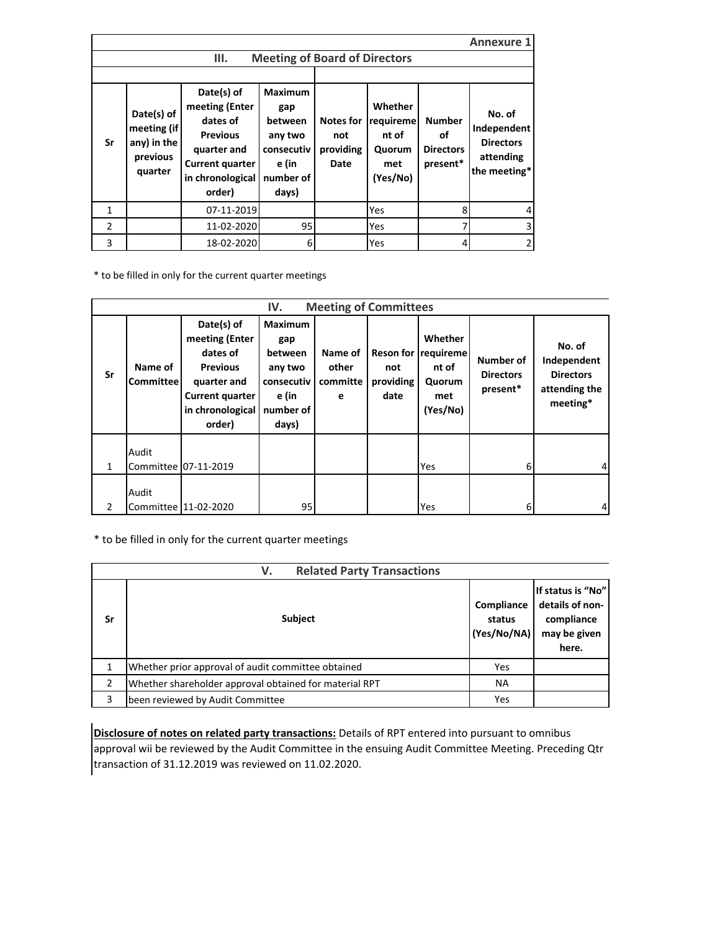|               |                                                                 |                                                                                                                                    |                                                                                          |                                              |                                                            |                                                     | <b>Annexure 1</b>                                                      |
|---------------|-----------------------------------------------------------------|------------------------------------------------------------------------------------------------------------------------------------|------------------------------------------------------------------------------------------|----------------------------------------------|------------------------------------------------------------|-----------------------------------------------------|------------------------------------------------------------------------|
|               |                                                                 | Ш.                                                                                                                                 | <b>Meeting of Board of Directors</b>                                                     |                                              |                                                            |                                                     |                                                                        |
|               |                                                                 |                                                                                                                                    |                                                                                          |                                              |                                                            |                                                     |                                                                        |
| Sr            | Date(s) of<br>meeting (if<br>any) in the<br>previous<br>quarter | Date(s) of<br>meeting (Enter<br>dates of<br><b>Previous</b><br>quarter and<br><b>Current quarter</b><br>in chronological<br>order) | <b>Maximum</b><br>gap<br>between<br>any two<br>consecutiv<br>e (in<br>number of<br>days) | <b>Notes for</b><br>not<br>providing<br>Date | Whether<br>requireme<br>nt of<br>Quorum<br>met<br>(Yes/No) | <b>Number</b><br>οf<br><b>Directors</b><br>present* | No. of<br>Independent<br><b>Directors</b><br>attending<br>the meeting* |
| 1             |                                                                 | 07-11-2019                                                                                                                         |                                                                                          |                                              | Yes                                                        | 8                                                   |                                                                        |
| $\mathcal{P}$ |                                                                 | 11-02-2020                                                                                                                         | 95                                                                                       |                                              | Yes                                                        |                                                     |                                                                        |
| 3             |                                                                 | 18-02-2020                                                                                                                         | 6                                                                                        |                                              | Yes                                                        |                                                     |                                                                        |

\* to be filled in only for the current quarter meetings

|                |                             |                                                                                                                                    | IV.                                                                                      | <b>Meeting of Committees</b>      |                          |                                                                      |                                           |                                                                        |
|----------------|-----------------------------|------------------------------------------------------------------------------------------------------------------------------------|------------------------------------------------------------------------------------------|-----------------------------------|--------------------------|----------------------------------------------------------------------|-------------------------------------------|------------------------------------------------------------------------|
| Sr             | Name of<br><b>Committee</b> | Date(s) of<br>meeting (Enter<br>dates of<br><b>Previous</b><br>quarter and<br><b>Current quarter</b><br>in chronological<br>order) | <b>Maximum</b><br>gap<br>between<br>any two<br>consecutiv<br>e (in<br>number of<br>days) | Name of<br>other<br>committe<br>e | not<br>providing<br>date | Whether<br>Reson for requireme<br>nt of<br>Quorum<br>met<br>(Yes/No) | Number of<br><b>Directors</b><br>present* | No. of<br>Independent<br><b>Directors</b><br>attending the<br>meeting* |
| $\mathbf{1}$   | Audit                       | Committee 07-11-2019                                                                                                               |                                                                                          |                                   |                          | Yes                                                                  | 61                                        | 4                                                                      |
| $\overline{2}$ | Audit                       | Committee 11-02-2020                                                                                                               | 95                                                                                       |                                   |                          | Yes                                                                  | 61                                        | 4                                                                      |

\* to be filled in only for the current quarter meetings

|    | <b>Related Party Transactions</b><br>V.                |                                     |                                                                             |
|----|--------------------------------------------------------|-------------------------------------|-----------------------------------------------------------------------------|
| Sr | Subject                                                | Compliance<br>status<br>(Yes/No/NA) | If status is "No"<br>details of non-<br>compliance<br>may be given<br>here. |
|    | Whether prior approval of audit committee obtained     | Yes                                 |                                                                             |
| 2  | Whether shareholder approval obtained for material RPT | <b>NA</b>                           |                                                                             |
| 3  | been reviewed by Audit Committee                       | Yes                                 |                                                                             |

**Disclosure of notes on related party transactions:** Details of RPT entered into pursuant to omnibus approval wii be reviewed by the Audit Committee in the ensuing Audit Committee Meeting. Preceding Qtr transaction of 31.12.2019 was reviewed on 11.02.2020.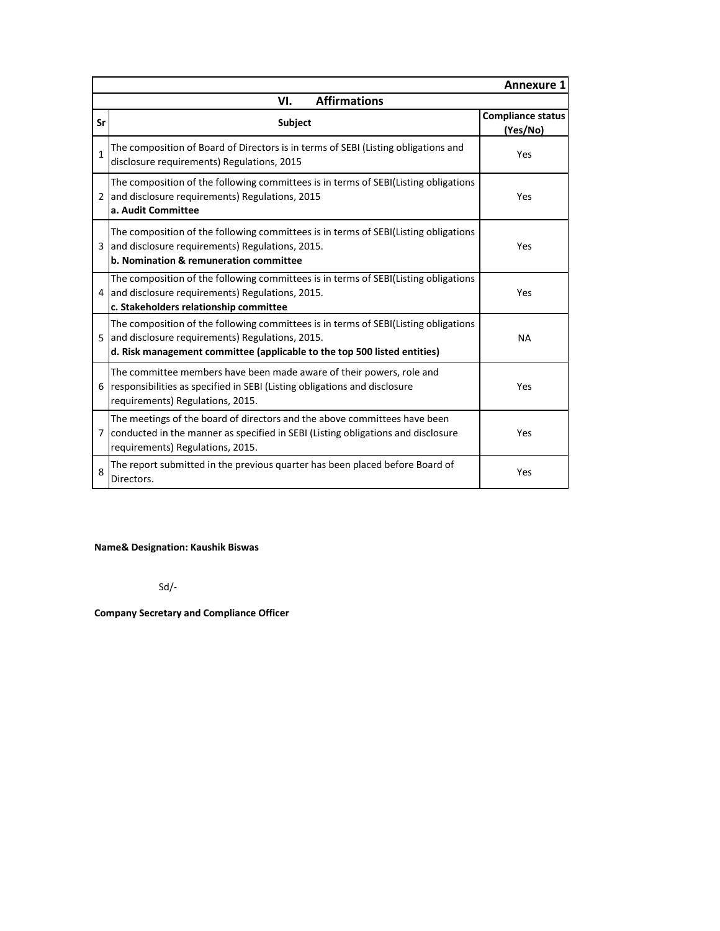|               |                                                                                                                                                                                                                    | <b>Annexure 1</b>                    |
|---------------|--------------------------------------------------------------------------------------------------------------------------------------------------------------------------------------------------------------------|--------------------------------------|
|               | <b>Affirmations</b><br>VI.                                                                                                                                                                                         |                                      |
| Sr            | <b>Subject</b>                                                                                                                                                                                                     | <b>Compliance status</b><br>(Yes/No) |
| 1             | The composition of Board of Directors is in terms of SEBI (Listing obligations and<br>disclosure requirements) Regulations, 2015                                                                                   | Yes                                  |
| $\mathcal{P}$ | The composition of the following committees is in terms of SEBI(Listing obligations<br>and disclosure requirements) Regulations, 2015<br>a. Audit Committee                                                        | Yes                                  |
|               | The composition of the following committees is in terms of SEBI(Listing obligations<br>and disclosure requirements) Regulations, 2015.<br>b. Nomination & remuneration committee                                   | Yes                                  |
| 4             | The composition of the following committees is in terms of SEBI(Listing obligations<br>and disclosure requirements) Regulations, 2015.<br>c. Stakeholders relationship committee                                   | Yes                                  |
| 5             | The composition of the following committees is in terms of SEBI(Listing obligations<br>and disclosure requirements) Regulations, 2015.<br>d. Risk management committee (applicable to the top 500 listed entities) | <b>NA</b>                            |
| 6             | The committee members have been made aware of their powers, role and<br>responsibilities as specified in SEBI (Listing obligations and disclosure<br>requirements) Regulations, 2015.                              | Yes                                  |
| 7             | The meetings of the board of directors and the above committees have been<br>conducted in the manner as specified in SEBI (Listing obligations and disclosure<br>requirements) Regulations, 2015.                  | Yes                                  |
| 8             | The report submitted in the previous quarter has been placed before Board of<br>Directors.                                                                                                                         | Yes                                  |

**Name& Designation: Kaushik Biswas**

Sd/-

**Company Secretary and Compliance Officer**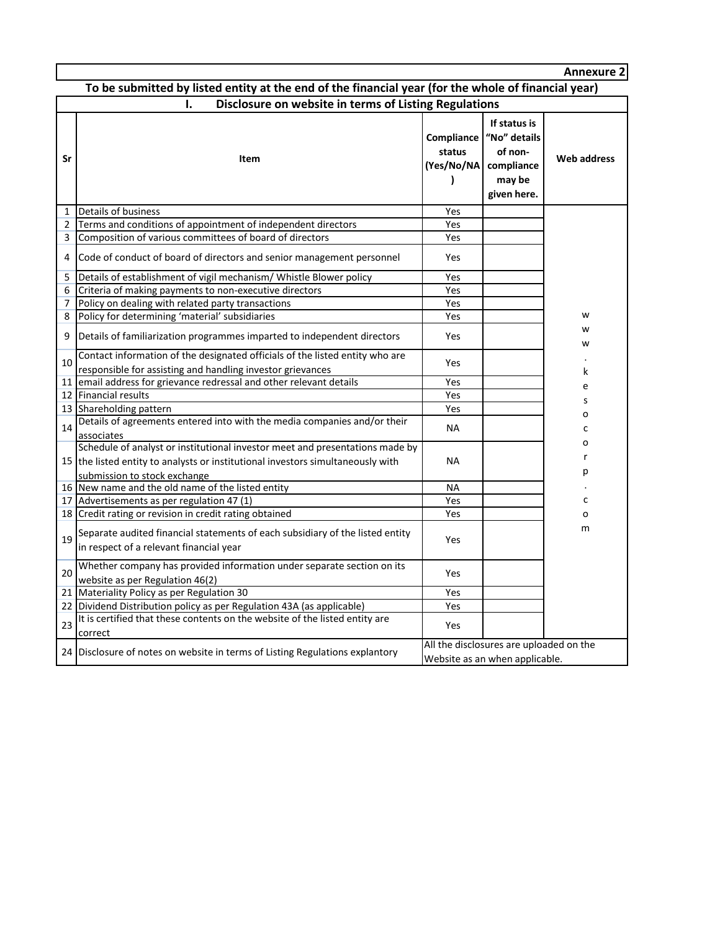|                |                                                                                                                                                                                                 |             |                                                                                                        | <b>Annexure 2</b> |
|----------------|-------------------------------------------------------------------------------------------------------------------------------------------------------------------------------------------------|-------------|--------------------------------------------------------------------------------------------------------|-------------------|
|                | To be submitted by listed entity at the end of the financial year (for the whole of financial year)                                                                                             |             |                                                                                                        |                   |
|                | Disclosure on website in terms of Listing Regulations<br>ı.                                                                                                                                     |             |                                                                                                        |                   |
| Sr             | Item                                                                                                                                                                                            | status<br>) | If status is<br>Compliance   "No" details<br>of non-<br>(Yes/No/NA compliance<br>may be<br>given here. | Web address       |
| $\mathbf{1}$   | Details of business                                                                                                                                                                             | Yes         |                                                                                                        |                   |
| $\overline{2}$ | Terms and conditions of appointment of independent directors                                                                                                                                    | Yes         |                                                                                                        |                   |
| 3              | Composition of various committees of board of directors                                                                                                                                         | Yes         |                                                                                                        |                   |
| 4              | Code of conduct of board of directors and senior management personnel                                                                                                                           | Yes         |                                                                                                        |                   |
| 5              | Details of establishment of vigil mechanism/ Whistle Blower policy                                                                                                                              | Yes         |                                                                                                        |                   |
| 6              | Criteria of making payments to non-executive directors                                                                                                                                          | Yes         |                                                                                                        |                   |
| 7              | Policy on dealing with related party transactions                                                                                                                                               | Yes         |                                                                                                        |                   |
| 8              | Policy for determining 'material' subsidiaries                                                                                                                                                  | Yes         |                                                                                                        | w                 |
| 9              | Details of familiarization programmes imparted to independent directors                                                                                                                         | Yes         |                                                                                                        | w<br>w            |
| 10             | Contact information of the designated officials of the listed entity who are<br>responsible for assisting and handling investor grievances                                                      | Yes         |                                                                                                        | k                 |
| 11             | email address for grievance redressal and other relevant details                                                                                                                                | Yes         |                                                                                                        | e                 |
|                | 12 Financial results                                                                                                                                                                            | Yes         |                                                                                                        | s                 |
|                | 13 Shareholding pattern                                                                                                                                                                         | Yes         |                                                                                                        |                   |
| 14             | Details of agreements entered into with the media companies and/or their<br>associates                                                                                                          | <b>NA</b>   |                                                                                                        | о<br>c            |
|                | Schedule of analyst or institutional investor meet and presentations made by<br>15 the listed entity to analysts or institutional investors simultaneously with<br>submission to stock exchange | <b>NA</b>   |                                                                                                        | o<br>r<br>р       |
|                | 16 New name and the old name of the listed entity                                                                                                                                               | <b>NA</b>   |                                                                                                        |                   |
|                | 17 Advertisements as per regulation 47 (1)                                                                                                                                                      | Yes         |                                                                                                        | с                 |
|                | 18 Credit rating or revision in credit rating obtained                                                                                                                                          | Yes         |                                                                                                        | о                 |
| 19             | Separate audited financial statements of each subsidiary of the listed entity<br>in respect of a relevant financial year                                                                        | Yes         |                                                                                                        | m                 |
| 20             | Whether company has provided information under separate section on its<br>website as per Regulation 46(2)                                                                                       | Yes         |                                                                                                        |                   |
|                | 21 Materiality Policy as per Regulation 30                                                                                                                                                      | Yes         |                                                                                                        |                   |
|                | 22 Dividend Distribution policy as per Regulation 43A (as applicable)                                                                                                                           | Yes         |                                                                                                        |                   |
| 23             | It is certified that these contents on the website of the listed entity are<br>correct                                                                                                          | Yes         |                                                                                                        |                   |
|                | 24 Disclosure of notes on website in terms of Listing Regulations explantory                                                                                                                    |             | All the disclosures are uploaded on the<br>Website as an when applicable.                              |                   |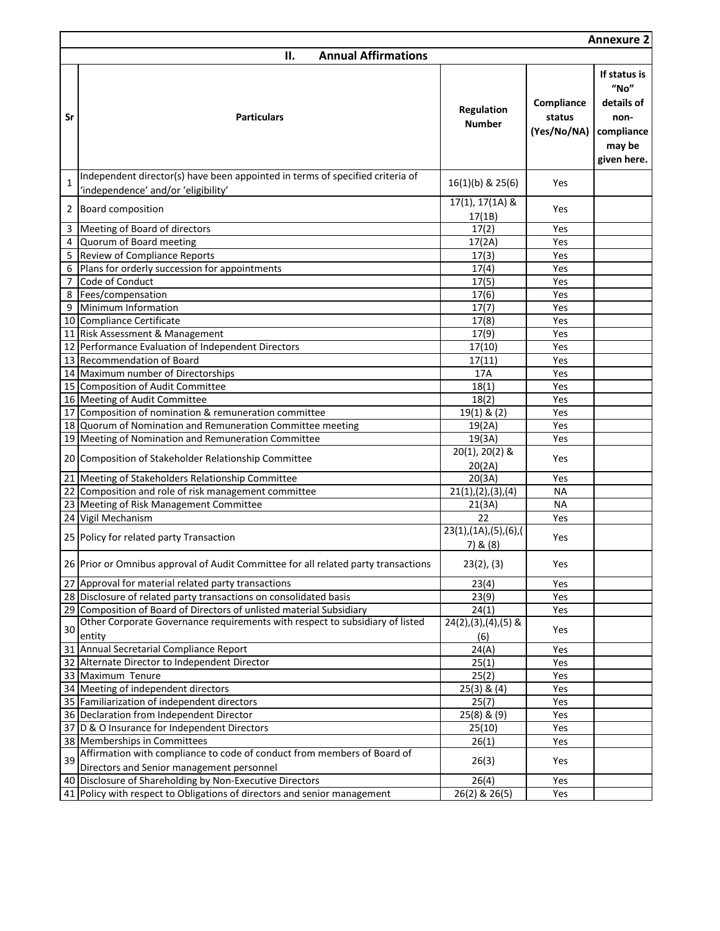|                |                                                                                                                      |                                          |                                     | <b>Annexure 2</b>                                                                 |
|----------------|----------------------------------------------------------------------------------------------------------------------|------------------------------------------|-------------------------------------|-----------------------------------------------------------------------------------|
|                | <b>Annual Affirmations</b><br>П.                                                                                     |                                          |                                     |                                                                                   |
| Sr             | <b>Particulars</b>                                                                                                   | <b>Regulation</b><br><b>Number</b>       | Compliance<br>status<br>(Yes/No/NA) | If status is<br>"No"<br>details of<br>non-<br>compliance<br>may be<br>given here. |
| $\mathbf{1}$   | Independent director(s) have been appointed in terms of specified criteria of<br>'independence' and/or 'eligibility' | 16(1)(b) & 25(6)                         | Yes                                 |                                                                                   |
| 2              | Board composition                                                                                                    | 17(1), 17(1A) &<br>17(1B)                | Yes                                 |                                                                                   |
| 3              | Meeting of Board of directors                                                                                        | 17(2)                                    | Yes                                 |                                                                                   |
|                | 4 Quorum of Board meeting                                                                                            | 17(2A)                                   | Yes                                 |                                                                                   |
|                | 5 Review of Compliance Reports                                                                                       | 17(3)                                    | Yes                                 |                                                                                   |
| 6              | Plans for orderly succession for appointments                                                                        | 17(4)                                    | Yes                                 |                                                                                   |
| $\overline{7}$ | Code of Conduct                                                                                                      | 17(5)                                    | Yes                                 |                                                                                   |
|                | 8 Fees/compensation                                                                                                  | 17(6)                                    | Yes                                 |                                                                                   |
|                | 9 Minimum Information                                                                                                | 17(7)                                    | Yes                                 |                                                                                   |
|                | 10 Compliance Certificate                                                                                            | 17(8)                                    | Yes                                 |                                                                                   |
|                | 11 Risk Assessment & Management                                                                                      | 17(9)                                    | Yes                                 |                                                                                   |
|                | 12 Performance Evaluation of Independent Directors                                                                   | 17(10)                                   | Yes                                 |                                                                                   |
|                | 13 Recommendation of Board                                                                                           | 17(11)                                   | Yes                                 |                                                                                   |
|                | 14 Maximum number of Directorships                                                                                   | 17A                                      | Yes                                 |                                                                                   |
|                | 15 Composition of Audit Committee                                                                                    | 18(1)                                    | Yes                                 |                                                                                   |
|                | 16 Meeting of Audit Committee                                                                                        | 18(2)                                    | Yes                                 |                                                                                   |
|                | 17 Composition of nomination & remuneration committee                                                                | $19(1)$ & $(2)$                          | Yes                                 |                                                                                   |
|                | 18 Quorum of Nomination and Remuneration Committee meeting                                                           | 19(2A)                                   | Yes                                 |                                                                                   |
|                | 19 Meeting of Nomination and Remuneration Committee                                                                  | 19(3A)                                   | Yes                                 |                                                                                   |
|                | 20 Composition of Stakeholder Relationship Committee                                                                 | $20(1), 20(2)$ &<br>20(2A)               | Yes                                 |                                                                                   |
|                | 21 Meeting of Stakeholders Relationship Committee                                                                    | 20(3A)                                   | Yes                                 |                                                                                   |
|                | 22 Composition and role of risk management committee                                                                 | 21(1), (2), (3), (4)                     | ΝA                                  |                                                                                   |
|                | 23 Meeting of Risk Management Committee                                                                              | 21(3A)                                   | <b>NA</b>                           |                                                                                   |
|                | 24 Vigil Mechanism                                                                                                   | 22                                       | Yes                                 |                                                                                   |
|                | 25 Policy for related party Transaction                                                                              | 23(1), (1A), (5), (6), (<br>$7)$ & $(8)$ | Yes                                 |                                                                                   |
|                | 26 Prior or Omnibus approval of Audit Committee for all related party transactions                                   | 23(2), (3)                               | Yes                                 |                                                                                   |
|                | 27 Approval for material related party transactions                                                                  | 23(4)                                    | Yes                                 |                                                                                   |
|                | 28 Disclosure of related party transactions on consolidated basis                                                    | 23(9)                                    | Yes                                 |                                                                                   |
|                | 29 Composition of Board of Directors of unlisted material Subsidiary                                                 | 24(1)                                    | Yes                                 |                                                                                   |
| 30             | Other Corporate Governance requirements with respect to subsidiary of listed<br>entity                               | $24(2),(3),(4),(5)$ &<br>(6)             | Yes                                 |                                                                                   |
|                | 31 Annual Secretarial Compliance Report                                                                              | 24(A)                                    | Yes                                 |                                                                                   |
|                | 32 Alternate Director to Independent Director                                                                        | 25(1)                                    | Yes                                 |                                                                                   |
|                | 33 Maximum Tenure                                                                                                    | 25(2)                                    | Yes                                 |                                                                                   |
|                | 34 Meeting of independent directors                                                                                  | $25(3)$ & $(4)$                          | Yes                                 |                                                                                   |
|                | 35 Familiarization of independent directors                                                                          | 25(7)                                    | Yes                                 |                                                                                   |
|                | 36 Declaration from Independent Director                                                                             | 25(8) & (9)                              | Yes                                 |                                                                                   |
|                | 37 D & O Insurance for Independent Directors                                                                         | 25(10)                                   | Yes                                 |                                                                                   |
|                | 38 Memberships in Committees                                                                                         | 26(1)                                    | Yes                                 |                                                                                   |
| 39             | Affirmation with compliance to code of conduct from members of Board of<br>Directors and Senior management personnel | 26(3)                                    | Yes                                 |                                                                                   |
|                | 40 Disclosure of Shareholding by Non-Executive Directors                                                             | 26(4)                                    | Yes                                 |                                                                                   |
|                | 41 Policy with respect to Obligations of directors and senior management                                             | 26(2) & 26(5)                            | Yes                                 |                                                                                   |